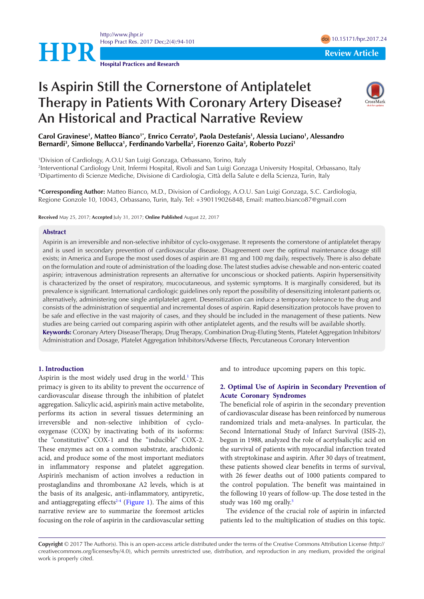<http://www.jhpr.ir> Hosp Pract Res. 2017 Dec;2(4):94-101 doi [10.15171/hpr.2017.2](https://doi.org/10.15171/hpr.2017.24)4



# **Is Aspirin Still the Cornerstone of Antiplatelet Therapy in Patients With Coronary Artery Disease? An Historical and Practical Narrative Review**



#### **Carol Gravinese1 , Matteo Bianco1\*, Enrico Cerrato2 , Paola Destefanis1 , Alessia Luciano1 , Alessandro Bernardi3 , Simone Bellucca1 , Ferdinando Varbella2 , Fiorenzo Gaita3 , Roberto Pozzi1**

1 Division of Cardiology, A.O.U San Luigi Gonzaga, Orbassano, Torino, Italy 2 Interventional Cardiology Unit, Infermi Hospital, Rivoli and San Luigi Gonzaga University Hospital, Orbassano, Italy 3 Dipartimento di Scienze Mediche, Divisione di Cardiologia, Città della Salute e della Scienza, Turin, Italy

**\*Corresponding Author:** Matteo Bianco, M.D., Division of Cardiology, A.O.U. San Luigi Gonzaga, S.C. Cardiologia, Regione Gonzole 10, 10043, Orbassano, Turin, Italy. Tel: +390119026848, Email: matteo.bianco87@gmail.com

**Received** May 25, 2017; **Accepted** July 31, 2017; **Online Published** August 22, 2017

#### **Abstract**

Aspirin is an irreversible and non-selective inhibitor of cyclo-oxygenase. It represents the cornerstone of antiplatelet therapy and is used in secondary prevention of cardiovascular disease. Disagreement over the optimal maintenance dosage still exists; in America and Europe the most used doses of aspirin are 81 mg and 100 mg daily, respectively. There is also debate on the formulation and route of administration of the loading dose. The latest studies advise chewable and non-enteric coated aspirin; intravenous administration represents an alternative for unconscious or shocked patients. Aspirin hypersensitivity is characterized by the onset of respiratory, mucocutaneous, and systemic symptoms. It is marginally considered, but its prevalence is significant. International cardiologic guidelines only report the possibility of desensitizing intolerant patients or, alternatively, administering one single antiplatelet agent. Desensitization can induce a temporary tolerance to the drug and consists of the administration of sequential and incremental doses of aspirin. Rapid desensitization protocols have proven to be safe and effective in the vast majority of cases, and they should be included in the management of these patients. New studies are being carried out comparing aspirin with other antiplatelet agents, and the results will be available shortly. **Keywords:** Coronary Artery Disease/Therapy, Drug Therapy, Combination Drug-Eluting Stents, Platelet Aggregation Inhibitors/ Administration and Dosage, Platelet Aggregation Inhibitors/Adverse Effects, Percutaneous Coronary Intervention

#### **1. Introduction**

Aspirin is the most widely used drug in the world.<sup>1</sup> This primacy is given to its ability to prevent the occurrence of cardiovascular disease through the inhibition of platelet aggregation. Salicylic acid, aspirin's main active metabolite, performs its action in several tissues determining an irreversible and non-selective inhibition of cyclooxygenase (COX) by inactivating both of its isoforms: the "constitutive" COX-1 and the "inducible" COX-2. These enzymes act on a common substrate, arachidonic acid, and produce some of the most important mediators in inflammatory response and platelet aggregation. Aspirin's mechanism of action involves a reduction in prostaglandins and thromboxane A2 levels, which is at the basis of its analgesic, anti-inflammatory, antipyretic, and antiaggregating effects<sup> $2-4$  $2-4$ </sup> ([Figure 1\)](#page-1-0). The aims of this narrative review are to summarize the foremost articles focusing on the role of aspirin in the cardiovascular setting and to introduce upcoming papers on this topic.

## **2. Optimal Use of Aspirin in Secondary Prevention of Acute Coronary Syndromes**

The beneficial role of aspirin in the secondary prevention of cardiovascular disease has been reinforced by numerous randomized trials and meta-analyses. In particular, the Second International Study of Infarct Survival (ISIS-2), begun in 1988, analyzed the role of acetylsalicylic acid on the survival of patients with myocardial infarction treated with streptokinase and aspirin. After 30 days of treatment, these patients showed clear benefits in terms of survival, with 26 fewer deaths out of 1000 patients compared to the control population. The benefit was maintained in the following 10 years of follow-up. The dose tested in the study was 160 mg orally.[5](#page-6-3)

The evidence of the crucial role of aspirin in infarcted patients led to the multiplication of studies on this topic.

**Copyright** © 2017 The Author(s). This is an open-access article distributed under the terms of the Creative Commons Attribution License (http:// creativecommons.org/licenses/by/4.0), which permits unrestricted use, distribution, and reproduction in any medium, provided the original work is properly cited.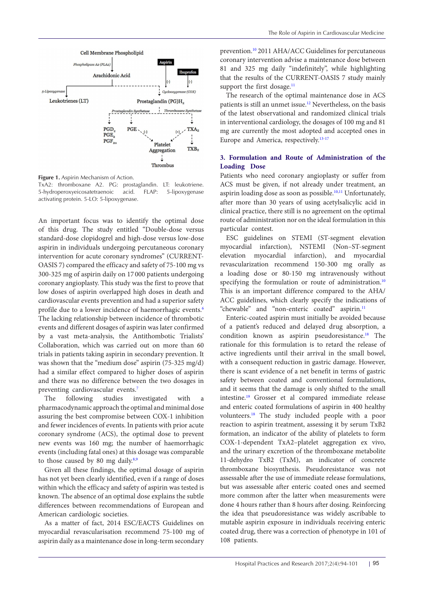<span id="page-1-0"></span>

**Figure 1.** Aspirin Mechanism of Action.

TxA2: thromboxane A2. PG: prostaglandin. LT: leukotriene. 5-hydroperoxyeicosatetraenoic acid. FLAP: 5-lipoxygenase activating protein. 5-LO: 5-lipoxygenase.

An important focus was to identify the optimal dose of this drug. The study entitled "Double-dose versus standard-dose clopidogrel and high-dose versus low-dose aspirin in individuals undergoing percutaneous coronary intervention for acute coronary syndromes" (CURRENT-OASIS 7) compared the efficacy and safety of 75-100 mg vs 300-325 mg of aspirin daily on 17 000 patients undergoing coronary angioplasty. This study was the first to prove that low doses of aspirin overlapped high doses in death and cardiovascular events prevention and had a superior safety profile due to a lower incidence of haemorrhagic events.<sup>[6](#page-6-4)</sup> The lacking relationship between incidence of thrombotic events and different dosages of aspirin was later confirmed by a vast meta-analysis, the Antithombotic Trialists' Collaboration, which was carried out on more than 60 trials in patients taking aspirin in secondary prevention. It was shown that the "medium dose" aspirin (75-325 mg/d) had a similar effect compared to higher doses of aspirin and there was no difference between the two dosages in preventing cardiovascular events.<sup>[7](#page-6-5)</sup>

The following studies investigated with pharmacodynamic approach the optimal and minimal dose assuring the best compromise between COX-1 inhibition and fewer incidences of events. In patients with prior acute coronary syndrome (ACS), the optimal dose to prevent new events was 160 mg; the number of haemorrhagic events (including fatal ones) at this dosage was comparable to those caused by [8](#page-6-6)0 mg daily. $8.9$  $8.9$ 

Given all these findings, the optimal dosage of aspirin has not yet been clearly identified, even if a range of doses within which the efficacy and safety of aspirin was tested is known. The absence of an optimal dose explains the subtle differences between recommendations of European and American cardiologic societies.

As a matter of fact, 2014 ESC/EACTS Guidelines on myocardial revascularisation recommend 75-100 mg of aspirin daily as a maintenance dose in long-term secondary prevention.<sup>[10](#page-6-8)</sup> 2011 AHA/ACC Guidelines for percutaneous coronary intervention advise a maintenance dose between 81 and 325 mg daily "indefinitely", while highlighting that the results of the CURRENT-OASIS 7 study mainly support the first dosage.<sup>[11](#page-6-9)</sup>

The research of the optimal maintenance dose in ACS patients is still an unmet issue.<sup>[12](#page-6-10)</sup> Nevertheless, on the basis of the latest observational and randomized clinical trials in interventional cardiology, the dosages of 100 mg and 81 mg are currently the most adopted and accepted ones in Europe and America, respectively.<sup>[13](#page-6-11)[-17](#page-6-12)</sup>

## **3. Formulation and Route of Administration of the Loading Dose**

Patients who need coronary angioplasty or suffer from ACS must be given, if not already under treatment, an aspirin loading dose as soon as possible.<sup>[10](#page-6-8),[11](#page-6-9)</sup> Unfortunately, after more than 30 years of using acetylsalicylic acid in clinical practice, there still is no agreement on the optimal route of administration nor on the ideal formulation in this particular contest.

ESC guidelines on STEMI (ST-segment elevation myocardial infarction), NSTEMI (Non–ST-segment elevation myocardial infarction), and myocardial revascularization recommend 150-300 mg orally as a loading dose or 80-150 mg intravenously without specifying the formulation or route of administration.<sup>[10](#page-6-8)</sup> This is an important difference compared to the AHA/ ACC guidelines, which clearly specify the indications of "chewable" and "non-enteric coated" aspirin.<sup>[11](#page-6-9)</sup>

Enteric-coated aspirin must initially be avoided because of a patient's reduced and delayed drug absorption, a condition known as aspirin pseudoresistance.<sup>18</sup> The rationale for this formulation is to retard the release of active ingredients until their arrival in the small bowel, with a consequent reduction in gastric damage. However, there is scant evidence of a net benefit in terms of gastric safety between coated and conventional formulations, and it seems that the damage is only shifted to the small intestine[.19](#page-6-14) Grosser et al compared immediate release and enteric coated formulations of aspirin in 400 healthy volunteers.[18](#page-6-13) The study included people with a poor reaction to aspirin treatment, assessing it by serum TxB2 formation, an indicator of the ability of platelets to form COX-1-dependent TxA2–platelet aggregation ex vivo, and the urinary excretion of the thromboxane metabolite 11-dehydro TxB2 (TxM), an indicator of concrete thromboxane biosynthesis. Pseudoresistance was not assessable after the use of immediate release formulations, but was assessable after enteric coated ones and seemed more common after the latter when measurements were done 4 hours rather than 8 hours after dosing. Reinforcing the idea that pseudoresistance was widely ascribable to mutable aspirin exposure in individuals receiving enteric coated drug, there was a correction of phenotype in 101 of 108 patients.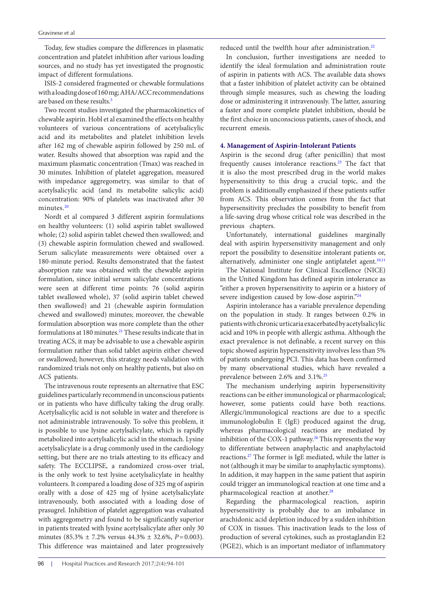Today, few studies compare the differences in plasmatic concentration and platelet inhibition after various loading sources, and no study has yet investigated the prognostic impact of different formulations.

ISIS-2 considered fragmented or chewable formulations with a loading dose of 160 mg; AHA/ACC recommendations are based on these results.<sup>5</sup>

Two recent studies investigated the pharmacokinetics of chewable aspirin. Hobl et al examined the effects on healthy volunteers of various concentrations of acetylsalicylic acid and its metabolites and platelet inhibition levels after 162 mg of chewable aspirin followed by 250 mL of water. Results showed that absorption was rapid and the maximum plasmatic concentration (Tmax) was reached in 30 minutes. Inhibition of platelet aggregation, measured with impedance aggregometry, was similar to that of acetylsalicylic acid (and its metabolite salicylic acid) concentration: 90% of platelets was inactivated after 30 minutes.<sup>[20](#page-6-15)</sup>

Nordt et al compared 3 different aspirin formulations on healthy volunteers: (1) solid aspirin tablet swallowed whole; (2) solid aspirin tablet chewed then swallowed; and (3) chewable aspirin formulation chewed and swallowed. Serum salicylate measurements were obtained over a 180-minute period. Results demonstrated that the fastest absorption rate was obtained with the chewable aspirin formulation, since initial serum salicylate concentrations were seen at different time points: 76 (solid aspirin tablet swallowed whole), 37 (solid aspirin tablet chewed then swallowed) and 21 (chewable aspirin formulation chewed and swallowed) minutes; moreover, the chewable formulation absorption was more complete than the other formulations at 180 minutes.<sup>[21](#page-6-16)</sup> These results indicate that in treating ACS, it may be advisable to use a chewable aspirin formulation rather than solid tablet aspirin either chewed or swallowed; however, this strategy needs validation with randomized trials not only on healthy patients, but also on ACS patients.

The intravenous route represents an alternative that ESC guidelines particularly recommend in unconscious patients or in patients who have difficulty taking the drug orally. Acetylsalicylic acid is not soluble in water and therefore is not administrable intravenously. To solve this problem, it is possible to use lysine acetylsalicylate, which is rapidly metabolized into acetylsalicylic acid in the stomach. Lysine acetylsalicylate is a drug commonly used in the cardiology setting, but there are no trials attesting to its efficacy and safety. The ECCLIPSE, a randomized cross-over trial, is the only work to test lysine acetylsalicylate in healthy volunteers. It compared a loading dose of 325 mg of aspirin orally with a dose of 425 mg of lysine acetylsalicylate intravenously, both associated with a loading dose of prasugrel. Inhibition of platelet aggregation was evaluated with aggregometry and found to be significantly superior in patients treated with lysine acetylsalicylate after only 30 minutes (85.3% ± 7.2% versus 44.3% ± 32.6%, *P*=0.003). This difference was maintained and later progressively reduced until the twelfth hour after administration.<sup>[22](#page-6-17)</sup>

In conclusion, further investigations are needed to identify the ideal formulation and administration route of aspirin in patients with ACS. The available data shows that a faster inhibition of platelet activity can be obtained through simple measures, such as chewing the loading dose or administering it intravenously. The latter, assuring a faster and more complete platelet inhibition, should be the first choice in unconscious patients, cases of shock, and recurrent emesis.

## **4. Management of Aspirin-Intolerant Patients**

Aspirin is the second drug (after penicillin) that most frequently causes intolerance reactions.<sup>23</sup> The fact that it is also the most prescribed drug in the world makes hypersensitivity to this drug a crucial topic, and the problem is additionally emphasized if these patients suffer from ACS. This observation comes from the fact that hypersensitivity precludes the possibility to benefit from a life-saving drug whose critical role was described in the previous chapters.

Unfortunately, international guidelines marginally deal with aspirin hypersensitivity management and only report the possibility to desensitize intolerant patients or, alternatively, administer one single antiplatelet agent.<sup>[10](#page-6-8),[11](#page-6-9)</sup>

The National Institute for Clinical Excellence (NICE) in the United Kingdom has defined aspirin intolerance as "either a proven hypersensitivity to aspirin or a history of severe indigestion caused by low-dose aspirin.["24](#page-6-19)

Aspirin intolerance has a variable prevalence depending on the population in study. It ranges between 0.2% in patients with chronic urticaria exacerbated by acetylsalicylic acid and 10% in people with allergic asthma. Although the exact prevalence is not definable, a recent survey on this topic showed aspirin hypersensitivity involves less than 5% of patients undergoing PCI. This data has been confirmed by many observational studies, which have revealed a prevalence between 2.6% and 3.1%.<sup>25</sup>

The mechanism underlying aspirin hypersensitivity reactions can be either immunological or pharmacological; however, some patients could have both reactions. Allergic/immunological reactions are due to a specific immunologlobulin E (IgE) produced against the drug, whereas pharmacological reactions are mediated by inhibition of the COX-1 pathway.<sup>26</sup> This represents the way to differentiate between anaphylactic and anaphylactoid reactions.[27](#page-6-22) The former is IgE mediated, while the latter is not (although it may be similar to anaphylactic symptoms). In addition, it may happen in the same patient that aspirin could trigger an immunological reaction at one time and a pharmacological reaction at another.<sup>28</sup>

Regarding the pharmacological reaction, aspirin hypersensitivity is probably due to an imbalance in arachidonic acid depletion induced by a sudden inhibition of COX in tissues. This inactivation leads to the loss of production of several cytokines, such as prostaglandin E2 (PGE2), which is an important mediator of inflammatory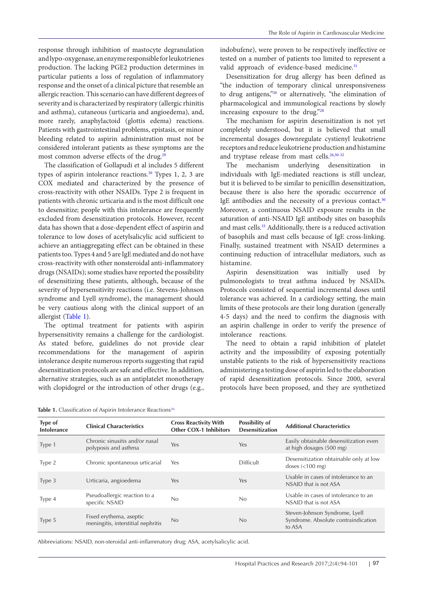response through inhibition of mastocyte degranulation and lypo-oxygenase, an enzyme responsible for leukotrienes production. The lacking PGE2 production determines in particular patients a loss of regulation of inflammatory response and the onset of a clinical picture that resemble an allergic reaction. This scenario can have different degrees of severity and is characterized by respiratory (allergic rhinitis and asthma), cutaneous (urticaria and angioedema), and, more rarely, anaphylactoid (glottis edema) reactions. Patients with gastrointestinal problems, epistasis, or minor bleeding related to aspirin administration must not be considered intolerant patients as these symptoms are the most common adverse effects of the drug.<sup>[29](#page-6-24)</sup>

The classification of Gollapudi et al includes 5 different types of aspirin intolerance reactions.<sup>30</sup> Types 1, 2, 3 are COX mediated and characterized by the presence of cross-reactivity with other NSAIDs. Type 2 is frequent in patients with chronic urticaria and is the most difficult one to desensitize; people with this intolerance are frequently excluded from desensitization protocols. However, recent data has shown that a dose-dependent effect of aspirin and tolerance to low doses of acetylsalicylic acid sufficient to achieve an antiaggregating effect can be obtained in these patients too. Types 4 and 5 are IgE mediated and do not have cross-reactivity with other nonsteroidal anti-inflammatory drugs (NSAIDs); some studies have reported the possibility of desensitizing these patients, although, because of the severity of hypersensitivity reactions (i.e. Stevens-Johnson syndrome and Lyell syndrome), the management should be very cautious along with the clinical support of an allergist ([Table 1](#page-3-0)).

The optimal treatment for patients with aspirin hypersensitivity remains a challenge for the cardiologist. As stated before, guidelines do not provide clear recommendations for the management of aspirin intolerance despite numerous reports suggesting that rapid desensitization protocols are safe and effective. In addition, alternative strategies, such as an antiplatelet monotherapy with clopidogrel or the introduction of other drugs (e.g.,

<span id="page-3-0"></span>Table 1. Classification of Aspirin Intolerance Reactions<sup>[30](#page-6-25)</sup>

indobufene), were proven to be respectively ineffective or tested on a number of patients too limited to represent a valid approach of evidence-based medicine.<sup>31</sup>

Desensitization for drug allergy has been defined as "the induction of temporary clinical unresponsiveness to drug antigens,["26](#page-6-21) or alternatively, "the elimination of pharmacological and immunological reactions by slowly increasing exposure to the drug.["28](#page-6-23)

The mechanism for aspirin desensitization is not yet completely understood, but it is believed that small incremental dosages downregulate cystienyl leukotriene receptors and reduce leukotriene production and histamine and tryptase release from mast cells.<sup>26,[30-](#page-6-25)[32](#page-7-1)</sup>

The mechanism underlying desensitization in individuals with IgE-mediated reactions is still unclear, but it is believed to be similar to penicillin desensitization, because there is also here the sporadic occurrence of IgE antibodies and the necessity of a previous contact.<sup>[30](#page-6-25)</sup> Moreover, a continuous NSAID exposure results in the saturation of anti-NSAID IgE antibody sites on basophils and mast cells.<sup>33</sup> Additionally, there is a reduced activation of basophils and mast cells because of IgE cross-linking. Finally, sustained treatment with NSAID determines a continuing reduction of intracellular mediators, such as histamine.

Aspirin desensitization was initially used by pulmonologists to treat asthma induced by NSAIDs. Protocols consisted of sequential incremental doses until tolerance was achieved. In a cardiology setting, the main limits of these protocols are their long duration (generally 4-5 days) and the need to confirm the diagnosis with an aspirin challenge in order to verify the presence of intolerance reactions.

The need to obtain a rapid inhibition of platelet activity and the impossibility of exposing potentially unstable patients to the risk of hypersensitivity reactions administering a testing dose of aspirin led to the elaboration of rapid desensitization protocols. Since 2000, several protocols have been proposed, and they are synthetized

| Type of<br>Intolerance | <b>Clinical Characteristics</b>                               | <b>Cross Reactivity With</b><br><b>Other COX-1 Inhibitors</b> | Possibility of<br><b>Desensitization</b> | <b>Additional Characteristics</b>                                               |
|------------------------|---------------------------------------------------------------|---------------------------------------------------------------|------------------------------------------|---------------------------------------------------------------------------------|
| Type 1                 | Chronic sinusitis and/or nasal<br>polyposis and asthma        | Yes                                                           | Yes                                      | Easily obtainable desensitization even<br>at high dosages (500 mg)              |
| Type 2                 | Chronic spontaneous urticarial                                | Yes                                                           | <b>Difficult</b>                         | Desensitization obtainable only at low<br>doses $\left($ < 100 mg)              |
| Type 3                 | Urticaria, angioedema                                         | <b>Yes</b>                                                    | Yes                                      | Usable in cases of intolerance to an<br>NSAID that is not ASA                   |
| Type 4                 | Pseudoallergic reaction to a<br>specific NSAID                | No                                                            | No.                                      | Usable in cases of intolerance to an<br>NSAID that is not ASA                   |
| Type 5                 | Fixed erythema, aseptic<br>meningitis, interstitial nephritis | N <sub>0</sub>                                                | No                                       | Steven-Johnson Syndrome, Lyell<br>Syndrome. Absolute contraindication<br>to ASA |

Abbreviations: NSAID, non-steroidal anti-inflammatory drug; ASA, acetylsalicylic acid.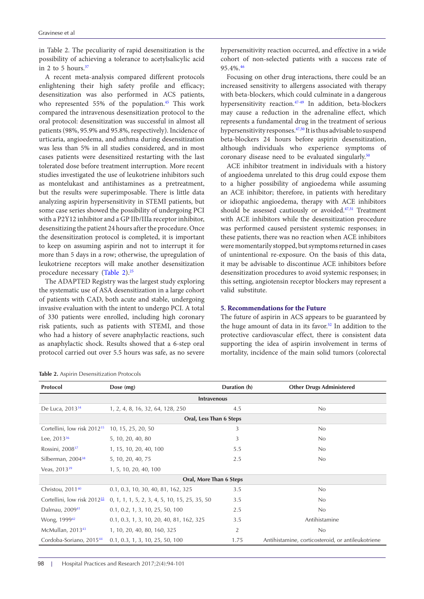in Table 2. The peculiarity of rapid desensitization is the possibility of achieving a tolerance to acetylsalicylic acid in 2 to 5 hours. $37$ 

A recent meta-analysis compared different protocols enlightening their high safety profile and efficacy; desensitization was also performed in ACS patients, who represented 55% of the population.<sup>[45](#page-7-4)</sup> This work compared the intravenous desensitization protocol to the oral protocol: desensitization was successful in almost all patients (98%, 95.9% and 95.8%, respectively). Incidence of urticaria, angioedema, and asthma during desensitization was less than 5% in all studies considered, and in most cases patients were desensitized restarting with the last tolerated dose before treatment interruption. More recent studies investigated the use of leukotriene inhibitors such as montelukast and antihistamines as a pretreatment, but the results were superimposable. There is little data analyzing aspirin hypersensitivity in STEMI patients, but some case series showed the possibility of undergoing PCI with a P2Y12 inhibitor and a GP IIb/IIIa receptor inhibitor, desensitizing the patient 24 hours after the procedure. Once the desensitization protocol is completed, it is important to keep on assuming aspirin and not to interrupt it for more than 5 days in a row; otherwise, the upregulation of leukotriene receptors will make another desensitization procedure necessary ([Table 2](#page-4-0))[.25](#page-6-20)

The ADAPTED Registry was the largest study exploring the systematic use of ASA desensitization in a large cohort of patients with CAD, both acute and stable, undergoing invasive evaluation with the intent to undergo PCI. A total of 330 patients were enrolled, including high coronary risk patients, such as patients with STEMI, and those who had a history of severe anaphylactic reactions, such as anaphylactic shock. Results showed that a 6-step oral protocol carried out over 5.5 hours was safe, as no severe

<span id="page-4-0"></span>**Table 2.** Aspirin Desensitization Protocols

hypersensitivity reaction occurred, and effective in a wide cohort of non-selected patients with a success rate of 95.4%.[46](#page-7-5)

Focusing on other drug interactions, there could be an increased sensitivity to allergens associated with therapy with beta-blockers, which could culminate in a dangerous hypersensitivity reaction.[47](#page-7-6)[-49](#page-7-7) In addition, beta-blockers may cause a reduction in the adrenaline effect, which represents a fundamental drug in the treatment of serious hypersensitivity responses.<sup>47,50</sup> It is thus advisable to suspend beta-blockers 24 hours before aspirin desensitization, although individuals who experience symptoms of coronary disease need to be evaluated singularly.<sup>[50](#page-7-8)</sup>

ACE inhibitor treatment in individuals with a history of angioedema unrelated to this drug could expose them to a higher possibility of angioedema while assuming an ACE inhibitor; therefore, in patients with hereditary or idiopathic angioedema, therapy with ACE inhibitors should be assessed cautiously or avoided.<sup>47,51</sup> Treatment with ACE inhibitors while the desensitization procedure was performed caused persistent systemic responses; in these patients, there was no reaction when ACE inhibitors were momentarily stopped, but symptoms returned in cases of unintentional re-exposure. On the basis of this data, it may be advisable to discontinue ACE inhibitors before desensitization procedures to avoid systemic responses; in this setting, angiotensin receptor blockers may represent a valid substitute.

## **5. Recommendations for the Future**

The future of aspirin in ACS appears to be guaranteed by the huge amount of data in its favor.<sup>52</sup> In addition to the protective cardiovascular effect, there is consistent data supporting the idea of aspirin involvement in terms of mortality, incidence of the main solid tumors (colorectal

| Protocol                                | Dose (mg)                                     | Duration (h)   | <b>Other Drugs Administered</b>                   |  |  |  |  |
|-----------------------------------------|-----------------------------------------------|----------------|---------------------------------------------------|--|--|--|--|
| <b>Intravenous</b>                      |                                               |                |                                                   |  |  |  |  |
| De Luca, 2013 <sup>34</sup>             | 1, 2, 4, 8, 16, 32, 64, 128, 250              | 4.5            | No                                                |  |  |  |  |
| Oral, Less Than 6 Steps                 |                                               |                |                                                   |  |  |  |  |
| Cortellini, low risk 2012 <sup>35</sup> | 10, 15, 25, 20, 50                            | 3              | No                                                |  |  |  |  |
| Lee, $2013^{36}$                        | 5, 10, 20, 40, 80                             | 3              | No                                                |  |  |  |  |
| Rossini, 2008 <sup>37</sup>             | 1, 15, 10, 20, 40, 100                        | 5.5            | No                                                |  |  |  |  |
| Silberman, 2004 <sup>38</sup>           | 5, 10, 20, 40, 75                             | 2.5            | No                                                |  |  |  |  |
| Veas, 2013 <sup>39</sup>                | 1, 5, 10, 20, 40, 100                         |                |                                                   |  |  |  |  |
| Oral, More Than 6 Steps                 |                                               |                |                                                   |  |  |  |  |
| Christou, 2011 <sup>40</sup>            | 0.1, 0.3, 10, 30, 40, 81, 162, 325            | 3.5            | No                                                |  |  |  |  |
| Cortellini, low risk 2012 <sup>35</sup> | 0, 1, 1, 1, 5, 2, 3, 4, 5, 10, 15, 25, 35, 50 | 3.5            | No                                                |  |  |  |  |
| Dalmau, 2009 <sup>41</sup>              | 0.1, 0.2, 1, 3, 10, 25, 50, 100               | 2.5            | No                                                |  |  |  |  |
| Wong, 1999 <sup>42</sup>                | 0.1, 0.3, 1, 3, 10, 20, 40, 81, 162, 325      | 3.5            | Antihistamine                                     |  |  |  |  |
| McMullan, 201343                        | 1, 10, 20, 40, 80, 160, 325                   | $\overline{2}$ | No                                                |  |  |  |  |
| Cordoba-Soriano, 2015 <sup>44</sup>     | 0.1, 0.3, 1, 3, 10, 25, 50, 100               | 1.75           | Antihistamine, corticosteroid, or antileukotriene |  |  |  |  |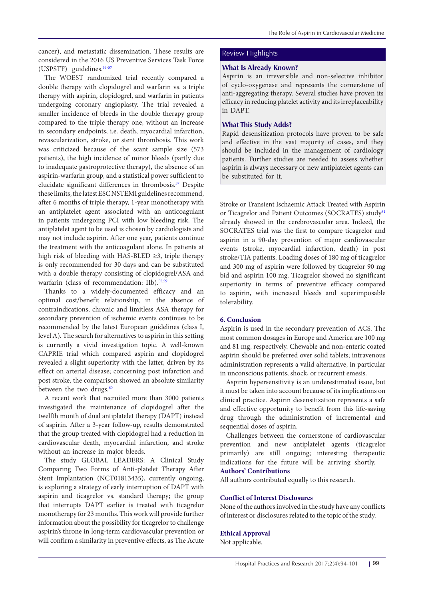cancer), and metastatic dissemination. These results are considered in the 2016 US Preventive Services Task Force (USPSTF) guidelines.<sup>53-[57](#page-7-22)</sup>

The WOEST randomized trial recently compared a double therapy with clopidogrel and warfarin vs. a triple therapy with aspirin, clopidogrel, and warfarin in patients undergoing coronary angioplasty. The trial revealed a smaller incidence of bleeds in the double therapy group compared to the triple therapy one, without an increase in secondary endpoints, i.e. death, myocardial infarction, revascularization, stroke, or stent thrombosis. This work was criticized because of the scant sample size (573 patients), the high incidence of minor bleeds (partly due to inadequate gastroprotective therapy), the absence of an aspirin-warfarin group, and a statistical power sufficient to elucidate significant differences in thrombosis.<sup>[57](#page-7-22)</sup> Despite these limits, the latest ESC NSTEMI guidelines recommend, after 6 months of triple therapy, 1-year monotherapy with an antiplatelet agent associated with an anticoagulant in patients undergoing PCI with low bleeding risk. The antiplatelet agent to be used is chosen by cardiologists and may not include aspirin. After one year, patients continue the treatment with the anticoagulant alone. In patients at high risk of bleeding with HAS-BLED ≥3, triple therapy is only recommended for 30 days and can be substituted with a double therapy consisting of clopidogrel/ASA and warfarin (class of recommendation: IIb).<sup>[58](#page-7-23),[59](#page-7-24)</sup>

Thanks to a widely-documented efficacy and an optimal cost/benefit relationship, in the absence of contraindications, chronic and limitless ASA therapy for secondary prevention of ischemic events continues to be recommended by the latest European guidelines (class I, level A). The search for alternatives to aspirin in this setting is currently a vivid investigation topic. A well-known CAPRIE trial which compared aspirin and clopidogrel revealed a slight superiority with the latter, driven by its effect on arterial disease; concerning post infarction and post stroke, the comparison showed an absolute similarity between the two drugs.<sup>[60](#page-7-25)</sup>

A recent work that recruited more than 3000 patients investigated the maintenance of clopidogrel after the twelfth month of dual antiplatelet therapy (DAPT) instead of aspirin. After a 3-year follow-up, results demonstrated that the group treated with clopidogrel had a reduction in cardiovascular death, myocardial infarction, and stroke without an increase in major bleeds.

The study GLOBAL LEADERS: A Clinical Study Comparing Two Forms of Anti-platelet Therapy After Stent Implantation (NCT01813435), currently ongoing, is exploring a strategy of early interruption of DAPT with aspirin and ticagrelor vs. standard therapy; the group that interrupts DAPT earlier is treated with ticagrelor monotherapy for 23 months. This work will provide further information about the possibility for ticagrelor to challenge aspirin's throne in long-term cardiovascular prevention or will confirm a similarity in preventive effects, as The Acute

## Review Highlights

## **What Is Already Known?**

Aspirin is an irreversible and non-selective inhibitor of cyclo-oxygenase and represents the cornerstone of anti-aggregating therapy. Several studies have proven its efficacy in reducing platelet activity and its irreplaceability in DAPT.

## **What This Study Adds?**

Rapid desensitization protocols have proven to be safe and effective in the vast majority of cases, and they should be included in the management of cardiology patients. Further studies are needed to assess whether aspirin is always necessary or new antiplatelet agents can be substituted for it.

Stroke or Transient Ischaemic Attack Treated with Aspirin or Ticagrelor and Patient Outcomes (SOCRATES) study<sup>[61](#page-7-26)</sup> already showed in the cerebrovascular area. Indeed, the SOCRATES trial was the first to compare ticagrelor and aspirin in a 90-day prevention of major cardiovascular events (stroke, myocardial infarction, death) in post stroke/TIA patients. Loading doses of 180 mg of ticagrelor and 300 mg of aspirin were followed by ticagrelor 90 mg bid and aspirin 100 mg. Ticagrelor showed no significant superiority in terms of preventive efficacy compared to aspirin, with increased bleeds and superimposable tolerability.

#### **6. Conclusion**

Aspirin is used in the secondary prevention of ACS. The most common dosages in Europe and America are 100 mg and 81 mg, respectively. Chewable and non-enteric coated aspirin should be preferred over solid tablets; intravenous administration represents a valid alternative, in particular in unconscious patients, shock, or recurrent emesis.

Aspirin hypersensitivity is an underestimated issue, but it must be taken into account because of its implications on clinical practice. Aspirin desensitization represents a safe and effective opportunity to benefit from this life-saving drug through the administration of incremental and sequential doses of aspirin.

Challenges between the cornerstone of cardiovascular prevention and new antiplatelet agents (ticagrelor primarily) are still ongoing; interesting therapeutic indications for the future will be arriving shortly. **Authors' Contributions**

All authors contributed equally to this research.

## **Conflict of Interest Disclosures**

None of the authors involved in the study have any conflicts of interest or disclosures related to the topic of the study.

## **Ethical Approval**

Not applicable.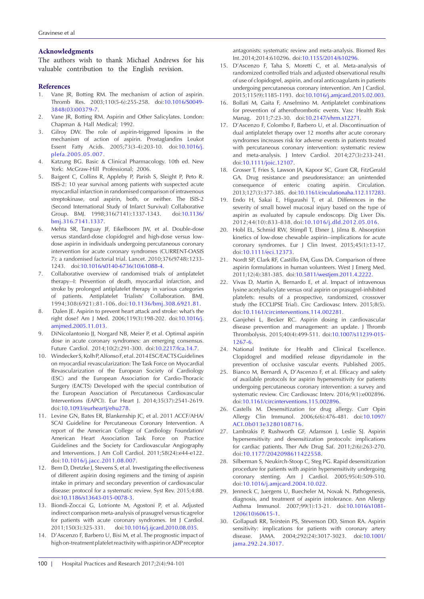#### **Acknowledgments**

The authors wish to thank Michael Andrews for his valuable contribution to the English revision.

#### **References**

- <span id="page-6-0"></span>1. Vane JR, Botting RM. The mechanism of action of aspirin. Thromb Res. 2003;110(5-6):255-258. doi:[10.1016/S0049-](https://doi.org/10.1016/S0049-3848(03)00379-7) [3848\(03\)00379-7](https://doi.org/10.1016/S0049-3848(03)00379-7).
- <span id="page-6-1"></span>2. Vane JR, Botting RM. Aspirin and Other Salicylates. London: Chapman & Hall Medical; 1992.
- 3. Gilroy DW. The role of aspirin-triggered lipoxins in the mechanism of action of aspirin. Prostaglandins Leukot Essent Fatty Acids. 2005;73(3-4):203-10. doi:[10.1016/j.](http://dx.doi.org/10.1016/j.plefa.2005.05.007) [plefa.2005.05.007.](http://dx.doi.org/10.1016/j.plefa.2005.05.007)
- <span id="page-6-2"></span>4. Katzung BG. Basic & Clinical Pharmacology. 10th ed. New York: McGraw-Hill Professional; 2006.
- <span id="page-6-3"></span>5. Baigent C, Collins R, Appleby P, Parish S, Sleight P, Peto R. ISIS-2: 10 year survival among patients with suspected acute myocardial infarction in randomised comparison of intravenous streptokinase, oral aspirin, both, or neither. The ISIS-2 (Second International Study of Infarct Survival) Collaborative Group. BMJ. 1998;316(7141):1337-1343. doi[:10.1136/](https://doi.org/10.1136/bmj.316.7141.1337) [bmj.316.7141.1337.](https://doi.org/10.1136/bmj.316.7141.1337)
- <span id="page-6-4"></span>6. Mehta SR, Tanguay JF, Eikelboom JW, et al. Double-dose versus standard-dose clopidogrel and high-dose versus lowdose aspirin in individuals undergoing percutaneous coronary intervention for acute coronary syndromes (CURRENT-OASIS 7): a randomised factorial trial. Lancet. 2010;376(9748):1233- 1243. doi[:10.1016/s0140-6736\(10\)61088-4](http://dx.doi.org/10.1016/s0140-6736(10)61088-4).
- <span id="page-6-5"></span>7. Collaborative overview of randomised trials of antiplatelet therapy--I: Prevention of death, myocardial infarction, and stroke by prolonged antiplatelet therapy in various categories of patients. Antiplatelet Trialists' Collaboration. BMJ. 1994;308(6921):81-106. doi:[10.1136/bmj.308.6921.81](https://doi.org/10.1136/bmj.308.6921.81).
- <span id="page-6-6"></span>8. Dalen JE. Aspirin to prevent heart attack and stroke: what's the right dose? Am J Med. 2006;119(3):198-202. doi:[10.1016/j.](http://dx.doi.org/10.1016/j.amjmed.2005.11.013) [amjmed.2005.11.013](http://dx.doi.org/10.1016/j.amjmed.2005.11.013).
- <span id="page-6-7"></span>DiNicolantonio JJ, Norgard NB, Meier P, et al. Optimal aspirin dose in acute coronary syndromes: an emerging consensus. Future Cardiol. 2014;10(2):291-300. doi:[10.2217/fca.14.7](http://dx.doi.org/10.2217/fca.14.7).
- <span id="page-6-8"></span>10. Windecker S, Kolh P, Alfonso F, et al. 2014 ESC/EACTS Guidelines on myocardial revascularization: The Task Force on Myocardial Revascularization of the European Society of Cardiology (ESC) and the European Association for Cardio-Thoracic Surgery (EACTS) Developed with the special contribution of the European Association of Percutaneous Cardiovascular Interventions (EAPCI). Eur Heart J. 2014;35(37):2541-2619. doi:[10.1093/eurheartj/ehu278.](http://dx.doi.org/10.1093/eurheartj/ehu278)
- <span id="page-6-9"></span>11. Levine GN, Bates ER, Blankenship JC, et al. 2011 ACCF/AHA/ SCAI Guideline for Percutaneous Coronary Intervention. A report of the American College of Cardiology Foundation/ American Heart Association Task Force on Practice Guidelines and the Society for Cardiovascular Angiography and Interventions. J Am Coll Cardiol. 2011;58(24):e44-e122. doi[:10.1016/j.jacc.2011.08.007.](http://dx.doi.org/10.1016/j.jacc.2011.08.007)
- <span id="page-6-10"></span>12. Bem D, Dretzke J, Stevens S, et al. Investigating the effectiveness of different aspirin dosing regimens and the timing of aspirin intake in primary and secondary prevention of cardiovascular disease: protocol for a systematic review. Syst Rev. 2015;4:88. doi[:10.1186/s13643-015-0078-3](http://dx.doi.org/10.1186/s13643-015-0078-3).
- <span id="page-6-11"></span>13. Biondi-Zoccai G, Lotrionte M, Agostoni P, et al. Adjusted indirect comparison meta-analysis of prasugrel versus ticagrelor for patients with acute coronary syndromes. Int J Cardiol. 2011;150(3):325-331. doi:[10.1016/j.ijcard.2010.08.035.](http://dx.doi.org/10.1016/j.ijcard.2010.08.035)
- 14. D'Ascenzo F, Barbero U, Bisi M, et al. The prognostic impact of high on-treatment platelet reactivity with aspirin or ADP receptor

antagonists: systematic review and meta-analysis. Biomed Res Int. 2014;2014:610296. doi[:10.1155/2014/610296](http://dx.doi.org/10.1155/2014/610296).

- 15. D'Ascenzo F, Taha S, Moretti C, et al. Meta-analysis of randomized controlled trials and adjusted observational results of use of clopidogrel, aspirin, and oral anticoagulants in patients undergoing percutaneous coronary intervention. Am J Cardiol. 2015;115(9):1185-1193. doi:[10.1016/j.amjcard.2015.02.003](http://dx.doi.org/10.1016/j.amjcard.2015.02.003).
- 16. Bollati M, Gaita F, Anselmino M. Antiplatelet combinations for prevention of atherothrombotic events. Vasc Health Risk Manag. 2011;7:23-30. doi:[10.2147/vhrm.s12271](http://dx.doi.org/10.2147/vhrm.s12271).
- <span id="page-6-12"></span>17. D'Ascenzo F, Colombo F, Barbero U, et al. Discontinuation of dual antiplatelet therapy over 12 months after acute coronary syndromes increases risk for adverse events in patients treated with percutaneous coronary intervention: systematic review and meta-analysis. J Interv Cardiol. 2014;27(3):233-241. doi:[10.1111/joic.12107](http://dx.doi.org/10.1111/joic.12107).
- <span id="page-6-13"></span>18. Grosser T, Fries S, Lawson JA, Kapoor SC, Grant GR, FitzGerald GA. Drug resistance and pseudoresistance: an unintended consequence of enteric coating aspirin. Circulation. 2013;127(3):377-385. doi[:10.1161/circulationaha.112.117283](http://dx.doi.org/10.1161/circulationaha.112.117283).
- <span id="page-6-14"></span>19. Endo H, Sakai E, Higurashi T, et al. Differences in the severity of small bowel mucosal injury based on the type of aspirin as evaluated by capsule endoscopy. Dig Liver Dis. 2012;44(10):833-838. doi:[10.1016/j.dld.2012.05.016](http://dx.doi.org/10.1016/j.dld.2012.05.016).
- <span id="page-6-15"></span>20. Hobl EL, Schmid RW, Stimpfl T, Ebner J, Jilma B. Absorption kinetics of low-dose chewable aspirin--implications for acute coronary syndromes. Eur J Clin Invest. 2015;45(1):13-17. doi:[10.1111/eci.12373.](http://dx.doi.org/10.1111/eci.12373)
- <span id="page-6-16"></span>21. Nordt SP, Clark RF, Castillo EM, Guss DA. Comparison of three aspirin formulations in human volunteers. West J Emerg Med. 2011;12(4):381-385. doi:[10.5811/westjem.2011.4.2222.](http://dx.doi.org/10.5811/westjem.2011.4.2222)
- <span id="page-6-17"></span>22. Vivas D, Martin A, Bernardo E, et al. Impact of intravenous lysine acetylsalicylate versus oral aspirin on prasugrel-inhibited platelets: results of a prospective, randomized, crossover study (the ECCLIPSE Trial). Circ Cardiovasc Interv. 2015;8(5). doi:[10.1161/circinterventions.114.002281](http://dx.doi.org/10.1161/circinterventions.114.002281).
- <span id="page-6-18"></span>23. Ganjehei L, Becker RC. Aspirin dosing in cardiovascular disease prevention and management: an update. J Thromb Thrombolysis. 2015;40(4):499-511. doi[:10.1007/s11239-015-](http://dx.doi.org/10.1007/s11239-015-1267-6) [1267-6.](http://dx.doi.org/10.1007/s11239-015-1267-6)
- <span id="page-6-19"></span>24. National Institute for Health and Clinical Excellence. Clopidogrel and modified release dipyridamole in the prevention of occlusive vascular events. Published 2005.
- <span id="page-6-20"></span>25. Bianco M, Bernardi A, D'Ascenzo F, et al. Efficacy and safety of available protocols for aspirin hypersensitivity for patients undergoing percutaneous coronary intervention: a survey and systematic review. Circ Cardiovasc Interv. 2016;9(1):e002896. doi:[10.1161/circinterventions.115.002896](http://dx.doi.org/10.1161/circinterventions.115.002896).
- <span id="page-6-21"></span>26. Castells M. Desensitization for drug allergy. Curr Opin Allergy Clin Immunol. 2006;6(6):476-481. doi[:10.1097/](http://dx.doi.org/10.1097/ACI.0b013e3280108716) [ACI.0b013e3280108716](http://dx.doi.org/10.1097/ACI.0b013e3280108716).
- <span id="page-6-22"></span>27. Lambrakis P, Rushworth GF, Adamson J, Leslie SJ. Aspirin hypersensitivity and desensitization protocols: implications for cardiac patients. Ther Adv Drug Saf. 2011;2(6):263-270. doi[:10.1177/2042098611422558.](http://dx.doi.org/10.1177/2042098611422558)
- <span id="page-6-23"></span>28. Silberman S, Neukirch-Stoop C, Steg PG. Rapid desensitization procedure for patients with aspirin hypersensitivity undergoing coronary stenting. Am J Cardiol. 2005;95(4):509-510. doi:[10.1016/j.amjcard.2004.10.022](http://dx.doi.org/10.1016/j.amjcard.2004.10.022).
- <span id="page-6-24"></span>29. Jenneck C, Juergens U, Buecheler M, Novak N. Pathogenesis, diagnosis, and treatment of aspirin intolerance. Ann Allergy Asthma Immunol. 2007;99(1):13-21. doi:[10.1016/s1081-](http://dx.doi.org/10.1016/s1081-1206(10)60615-1) [1206\(10\)60615-1.](http://dx.doi.org/10.1016/s1081-1206(10)60615-1)
- <span id="page-6-25"></span>30. Gollapudi RR, Teirstein PS, Stevenson DD, Simon RA. Aspirin sensitivity: implications for patients with coronary artery disease. JAMA. 2004;292(24):3017-3023. doi[:10.1001/](http://dx.doi.org/10.1001/jama.292.24.3017) [jama.292.24.3017](http://dx.doi.org/10.1001/jama.292.24.3017).